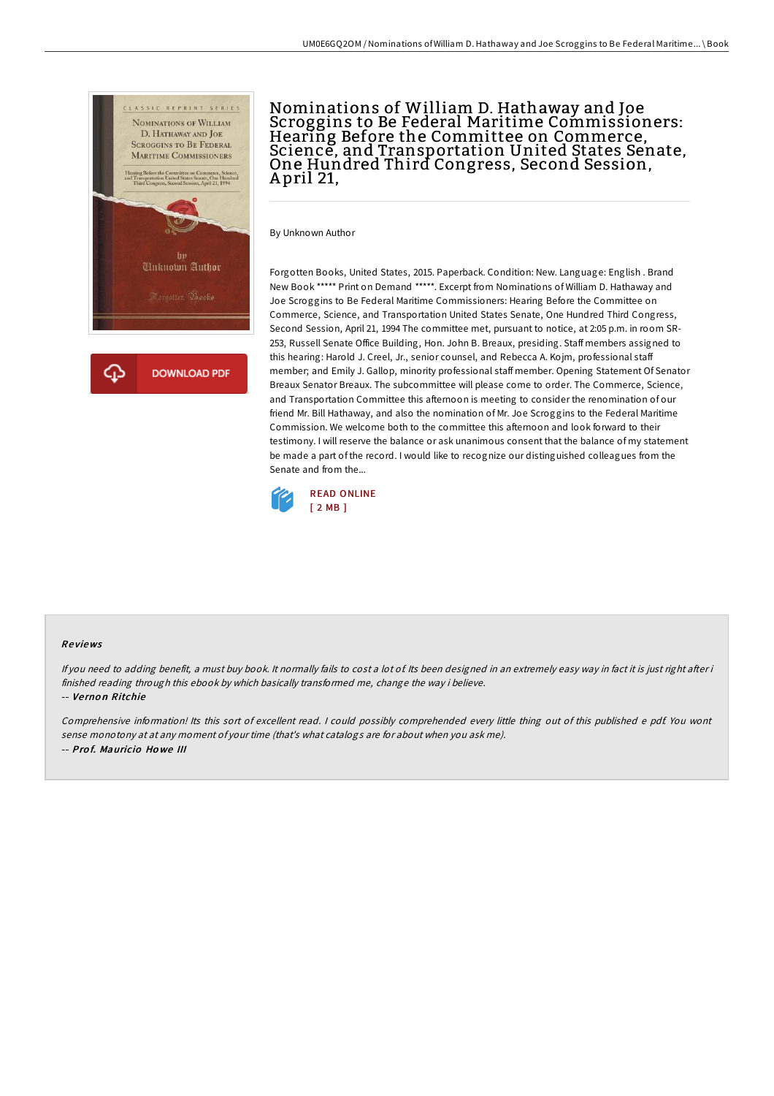

Nominations of William D. Hathaway and Joe Scroggins to Be Federal Maritime Commissioners: Hearing Before the Committee on Commerce, Science, and Transportation United States Senate, One Hundred Third Congress, Second Session, A pril 21,

By Unknown Author

Forgotten Books, United States, 2015. Paperback. Condition: New. Language: English . Brand New Book \*\*\*\*\* Print on Demand \*\*\*\*\*. Excerpt from Nominations of William D. Hathaway and Joe Scroggins to Be Federal Maritime Commissioners: Hearing Before the Committee on Commerce, Science, and Transportation United States Senate, One Hundred Third Congress, Second Session, April 21, 1994 The committee met, pursuant to notice, at 2:05 p.m. in room SR-253, Russell Senate Office Building, Hon. John B. Breaux, presiding. Staff members assigned to this hearing: Harold J. Creel, Jr., senior counsel, and Rebecca A. Kojm, professional staff member; and Emily J. Gallop, minority professional staff member. Opening Statement Of Senator Breaux Senator Breaux. The subcommittee will please come to order. The Commerce, Science, and Transportation Committee this afternoon is meeting to consider the renomination of our friend Mr. Bill Hathaway, and also the nomination of Mr. Joe Scroggins to the Federal Maritime Commission. We welcome both to the committee this afternoon and look forward to their testimony. I will reserve the balance or ask unanimous consent that the balance of my statement be made a part of the record. I would like to recognize our distinguished colleagues from the Senate and from the...



## Re views

If you need to adding benefit, a must buy book. It normally fails to cost a lot of Its been designed in an extremely easy way in fact it is just right after i finished reading through this ebook by which basically transformed me, change the way i believe. -- Ve rno <sup>n</sup> Ritchie

Comprehensive information! Its this sort of excellent read. <sup>I</sup> could possibly comprehended every little thing out of this published <sup>e</sup> pdf. You wont sense monotony at at any moment of your time (that's what catalogs are for about when you ask me). -- Prof. Mauricio Howe III